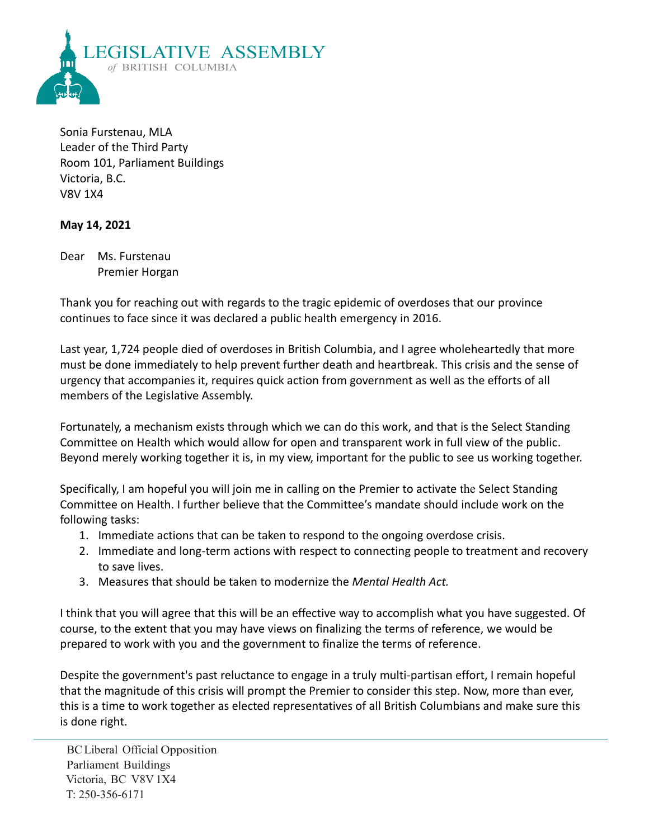

Sonia Furstenau, MLA Leader of the Third Party Room 101, Parliament Buildings Victoria, B.C. V8V 1X4

## **May 14, 2021**

Dear Ms. Furstenau Premier Horgan

Thank you for reaching out with regards to the tragic epidemic of overdoses that our province continues to face since it was declared a public health emergency in 2016.

Last year, 1,724 people died of overdoses in British Columbia, and I agree wholeheartedly that more must be done immediately to help prevent further death and heartbreak. This crisis and the sense of urgency that accompanies it, requires quick action from government as well as the efforts of all members of the Legislative Assembly.

Fortunately, a mechanism exists through which we can do this work, and that is the Select Standing Committee on Health which would allow for open and transparent work in full view of the public. Beyond merely working together it is, in my view, important for the public to see us working together.

Specifically, I am hopeful you will join me in calling on the Premier to activate the Select Standing Committee on Health. I further believe that the Committee's mandate should include work on the following tasks:

- 1. Immediate actions that can be taken to respond to the ongoing overdose crisis.
- 2. Immediate and long-term actions with respect to connecting people to treatment and recovery to save lives.
- 3. Measures that should be taken to modernize the *Mental Health Act.*

I think that you will agree that this will be an effective way to accomplish what you have suggested. Of course, to the extent that you may have views on finalizing the terms of reference, we would be prepared to work with you and the government to finalize the terms of reference.

Despite the government's past reluctance to engage in a truly multi-partisan effort, I remain hopeful that the magnitude of this crisis will prompt the Premier to consider this step. Now, more than ever, this is a time to work together as elected representatives of all British Columbians and make sure this is done right.